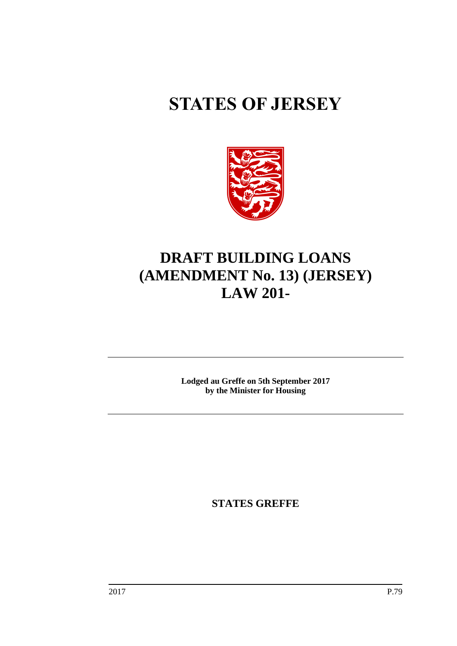# **STATES OF JERSEY**



## **DRAFT BUILDING LOANS (AMENDMENT No. 13) (JERSEY) LAW 201-**

**Lodged au Greffe on 5th September 2017 by the Minister for Housing**

**STATES GREFFE**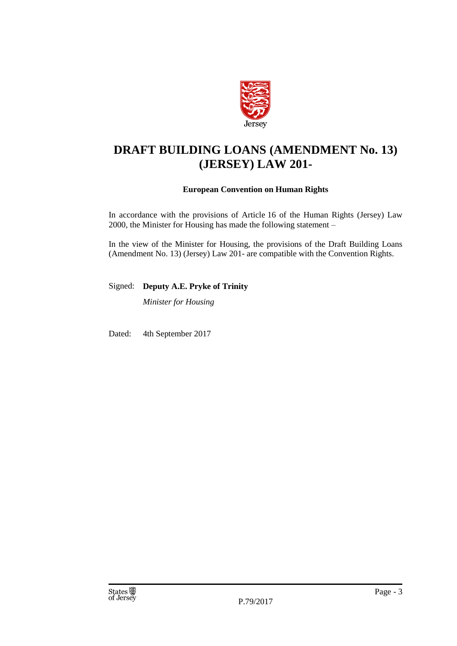

## **DRAFT BUILDING LOANS (AMENDMENT No. 13) (JERSEY) LAW 201-**

#### **European Convention on Human Rights**

In accordance with the provisions of Article 16 of the Human Rights (Jersey) Law 2000, the Minister for Housing has made the following statement –

In the view of the Minister for Housing, the provisions of the Draft Building Loans (Amendment No. 13) (Jersey) Law 201- are compatible with the Convention Rights.

Signed: **Deputy A.E. Pryke of Trinity**

*Minister for Housing*

Dated: 4th September 2017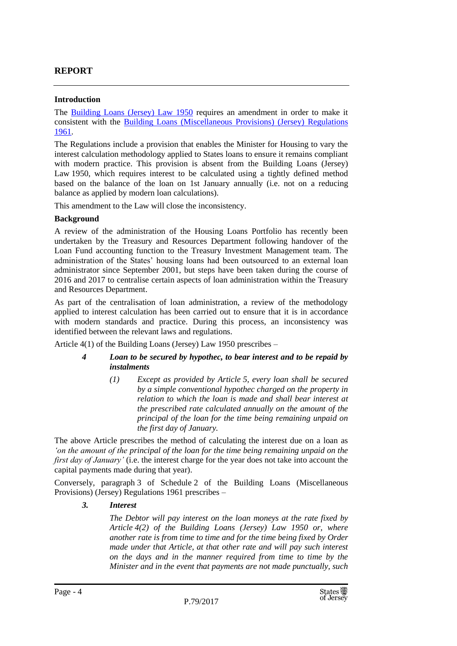#### **REPORT**

#### **Introduction**

The [Building Loans \(Jersey\) Law 1950](https://www.jerseylaw.je/laws/revised/Pages/24.090.aspx) requires an amendment in order to make it consistent with the [Building Loans \(Miscellaneous Provisions\) \(Jersey\) Regulations](https://www.jerseylaw.je/laws/revised/Pages/24.090.30.aspx)  [1961.](https://www.jerseylaw.je/laws/revised/Pages/24.090.30.aspx)

The Regulations include a provision that enables the Minister for Housing to vary the interest calculation methodology applied to States loans to ensure it remains compliant with modern practice. This provision is absent from the Building Loans (Jersey) Law 1950, which requires interest to be calculated using a tightly defined method based on the balance of the loan on 1st January annually (i.e. not on a reducing balance as applied by modern loan calculations).

This amendment to the Law will close the inconsistency.

#### **Background**

A review of the administration of the Housing Loans Portfolio has recently been undertaken by the Treasury and Resources Department following handover of the Loan Fund accounting function to the Treasury Investment Management team. The administration of the States' housing loans had been outsourced to an external loan administrator since September 2001, but steps have been taken during the course of 2016 and 2017 to centralise certain aspects of loan administration within the Treasury and Resources Department.

As part of the centralisation of loan administration, a review of the methodology applied to interest calculation has been carried out to ensure that it is in accordance with modern standards and practice. During this process, an inconsistency was identified between the relevant laws and regulations.

Article 4(1) of the Building Loans (Jersey) Law 1950 prescribes –

#### *4 Loan to be secured by hypothec, to bear interest and to be repaid by instalments*

*(1) Except as provided by Article 5, every loan shall be secured by a simple conventional hypothec charged on the property in relation to which the loan is made and shall bear interest at the prescribed rate calculated annually on the amount of the principal of the loan for the time being remaining unpaid on the first day of January.*

The above Article prescribes the method of calculating the interest due on a loan as *'on the amount of the principal of the loan for the time being remaining unpaid on the first day of January'* (i.e. the interest charge for the year does not take into account the capital payments made during that year).

Conversely, paragraph 3 of Schedule 2 of the Building Loans (Miscellaneous Provisions) (Jersey) Regulations 1961 prescribes –

#### *3. Interest*

*The Debtor will pay interest on the loan moneys at the rate fixed by Article 4(2) of the Building Loans (Jersey) Law 1950 or, where another rate is from time to time and for the time being fixed by Order made under that Article, at that other rate and will pay such interest on the days and in the manner required from time to time by the Minister and in the event that payments are not made punctually, such*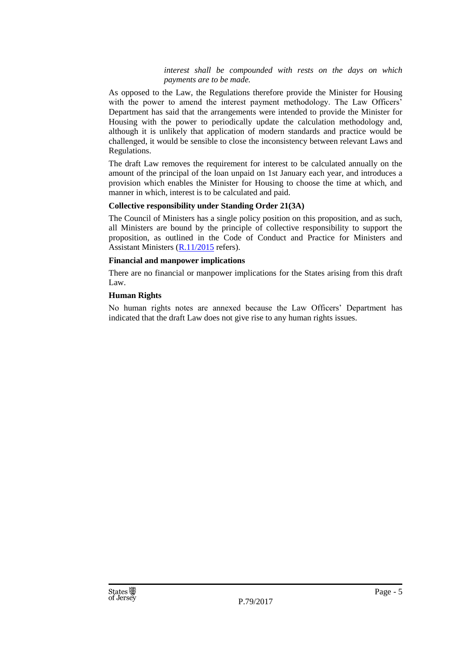#### *interest shall be compounded with rests on the days on which payments are to be made.*

As opposed to the Law, the Regulations therefore provide the Minister for Housing with the power to amend the interest payment methodology. The Law Officers' Department has said that the arrangements were intended to provide the Minister for Housing with the power to periodically update the calculation methodology and, although it is unlikely that application of modern standards and practice would be challenged, it would be sensible to close the inconsistency between relevant Laws and Regulations.

The draft Law removes the requirement for interest to be calculated annually on the amount of the principal of the loan unpaid on 1st January each year, and introduces a provision which enables the Minister for Housing to choose the time at which, and manner in which, interest is to be calculated and paid.

#### **Collective responsibility under Standing Order 21(3A)**

The Council of Ministers has a single policy position on this proposition, and as such, all Ministers are bound by the principle of collective responsibility to support the proposition, as outlined in the Code of Conduct and Practice for Ministers and Assistant Ministers [\(R.11/2015](http://www.statesassembly.gov.je/AssemblyReports/2015/R.11-2015.pdf) refers).

#### **Financial and manpower implications**

There are no financial or manpower implications for the States arising from this draft Law.

#### **Human Rights**

No human rights notes are annexed because the Law Officers' Department has indicated that the draft Law does not give rise to any human rights issues.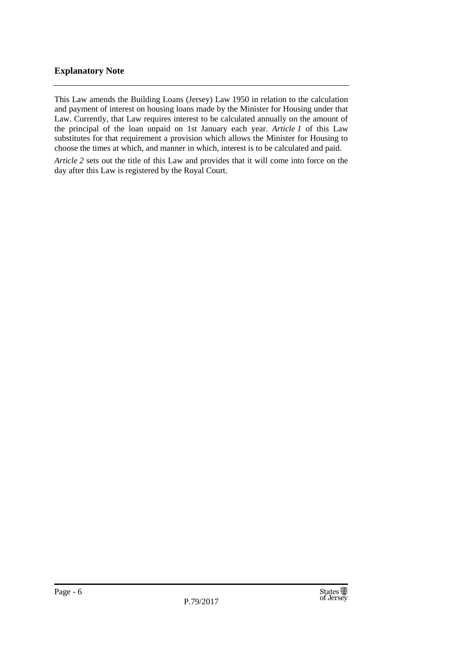#### **Explanatory Note**

This Law amends the Building Loans (Jersey) Law 1950 in relation to the calculation and payment of interest on housing loans made by the Minister for Housing under that Law. Currently, that Law requires interest to be calculated annually on the amount of the principal of the loan unpaid on 1st January each year. *Article 1* of this Law substitutes for that requirement a provision which allows the Minister for Housing to choose the times at which, and manner in which, interest is to be calculated and paid.

*Article 2* sets out the title of this Law and provides that it will come into force on the day after this Law is registered by the Royal Court.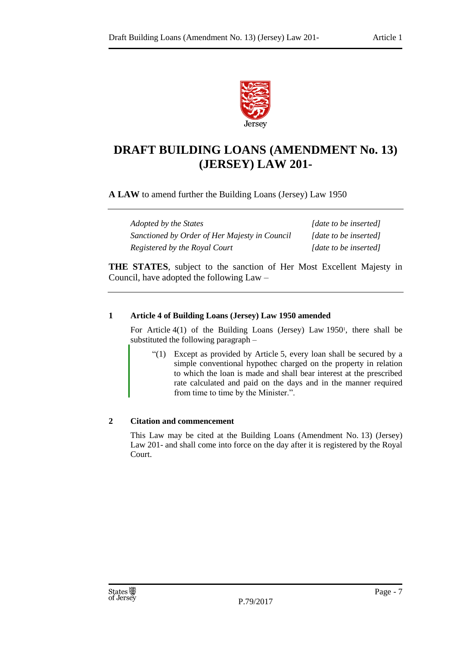

### **DRAFT BUILDING LOANS (AMENDMENT No. 13) (JERSEY) LAW 201-**

**A LAW** to amend further the Building Loans (Jersey) Law 1950

| Adopted by the States                         | [date to be inserted] |
|-----------------------------------------------|-----------------------|
| Sanctioned by Order of Her Majesty in Council | [date to be inserted] |
| Registered by the Royal Court                 | [date to be inserted] |

**THE STATES**, subject to the sanction of Her Most Excellent Majesty in Council, have adopted the following Law –

#### **1 Article 4 of Building Loans (Jersey) Law 1950 amended**

For Article  $4(1)$  of the Building Loans (Jersey) Law 1950<sup>1</sup>, there shall be substituted the following paragraph –

"(1) Except as provided by Article 5, every loan shall be secured by a simple conventional hypothec charged on the property in relation to which the loan is made and shall bear interest at the prescribed rate calculated and paid on the days and in the manner required from time to time by the Minister.".

#### **2 Citation and commencement**

This Law may be cited at the Building Loans (Amendment No. 13) (Jersey) Law 201- and shall come into force on the day after it is registered by the Royal Court.